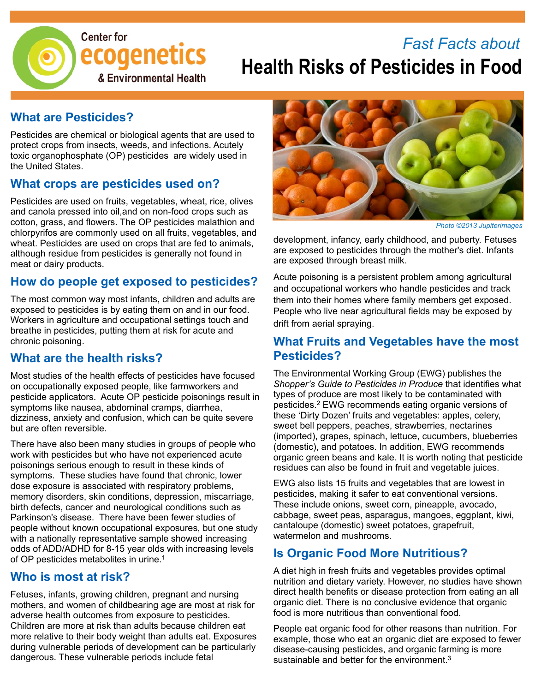

# *Fast Facts about* **Health Risks of Pesticides in Food**

#### **What are Pesticides?**

Pesticides are chemical or biological agents that are used to protect crops from insects, weeds, and infections. Acutely toxic organophosphate (OP) pesticides are widely used in the United States.

#### **What crops are pesticides used on?**

Pesticides are used on fruits, vegetables, wheat, rice, olives and canola pressed into oil,and on non-food crops such as cotton, grass, and flowers. The OP pesticides malathion and chlorpyrifos are commonly used on all fruits, vegetables, and wheat. Pesticides are used on crops that are fed to animals, although residue from pesticides is generally not found in meat or dairy products.

#### **How do people get exposed to pesticides?**

The most common way most infants, children and adults are exposed to pesticides is by eating them on and in our food. Workers in agriculture and occupational settings touch and breathe in pesticides, putting them at risk for acute and chronic poisoning.

#### **What are the health risks?**

Most studies of the health effects of pesticides have focused on occupationally exposed people, like farmworkers and pesticide applicators. Acute OP pesticide poisonings result in symptoms like nausea, abdominal cramps, diarrhea, dizziness, anxiety and confusion, which can be quite severe but are often reversible.

There have also been many studies in groups of people who work with pesticides but who have not experienced acute poisonings serious enough to result in these kinds of symptoms. These studies have found that chronic, lower dose exposure is associated with respiratory problems, memory disorders, skin conditions, depression, miscarriage, birth defects, cancer and neurological conditions such as Parkinson's disease. There have been fewer studies of people without known occupational exposures, but one study with a nationally representative sample showed increasing odds of ADD/ADHD for 8-15 year olds with increasing levels of OP pesticides metabolites in urine.1

#### **Who is most at risk?**

Fetuses, infants, growing children, pregnant and nursing mothers, and women of childbearing age are most at risk for adverse health outcomes from exposure to pesticides. Children are more at risk than adults because children eat more relative to their body weight than adults eat. Exposures during vulnerable periods of development can be particularly dangerous. These vulnerable periods include fetal



*Photo ©2013 Jupiterimages*

development, infancy, early childhood, and puberty. Fetuses are exposed to pesticides through the mother's diet. Infants are exposed through breast milk.

Acute poisoning is a persistent problem among agricultural and occupational workers who handle pesticides and track them into their homes where family members get exposed. People who live near agricultural fields may be exposed by drift from aerial spraying.

#### **What Fruits and Vegetables have the most Pesticides?**

The Environmental Working Group (EWG) publishes the *Shopper's Guide to Pesticides in Produce* that identifies what types of produce are most likely to be contaminated with pesticides.2 EWG recommends eating organic versions of these 'Dirty Dozen' fruits and vegetables: apples, celery, sweet bell peppers, peaches, strawberries, nectarines (imported), grapes, spinach, lettuce, cucumbers, blueberries (domestic), and potatoes. In addition, EWG recommends organic green beans and kale. It is worth noting that pesticide residues can also be found in fruit and vegetable juices.

EWG also lists 15 fruits and vegetables that are lowest in pesticides, making it safer to eat conventional versions. These include onions, sweet corn, pineapple, avocado, cabbage, sweet peas, asparagus, mangoes, eggplant, kiwi, cantaloupe (domestic) sweet potatoes, grapefruit, watermelon and mushrooms.

#### **Is Organic Food More Nutritious?**

A diet high in fresh fruits and vegetables provides optimal nutrition and dietary variety. However, no studies have shown direct health benefits or disease protection from eating an all organic diet. There is no conclusive evidence that organic food is more nutritious than conventional food.

People eat organic food for other reasons than nutrition. For example, those who eat an organic diet are exposed to fewer disease-causing pesticides, and organic farming is more sustainable and better for the environment.<sup>3</sup>